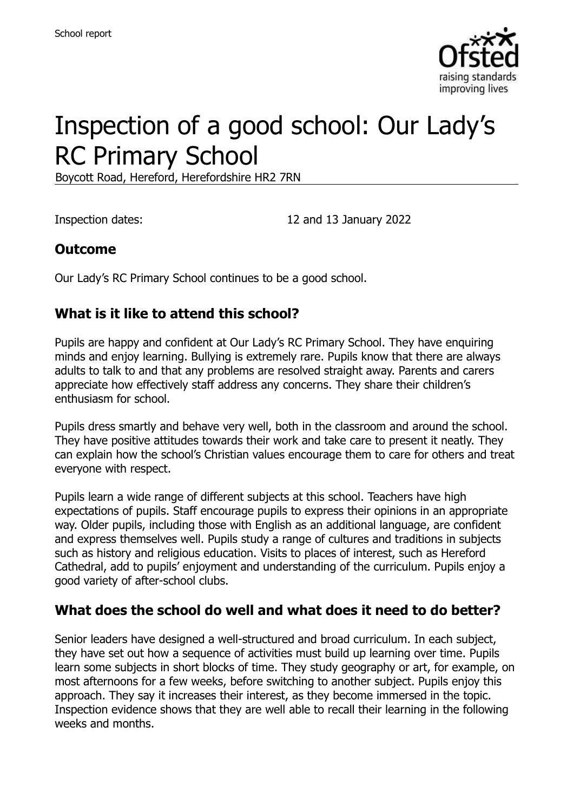

# Inspection of a good school: Our Lady's RC Primary School

Boycott Road, Hereford, Herefordshire HR2 7RN

Inspection dates: 12 and 13 January 2022

## **Outcome**

Our Lady's RC Primary School continues to be a good school.

## **What is it like to attend this school?**

Pupils are happy and confident at Our Lady's RC Primary School. They have enquiring minds and enjoy learning. Bullying is extremely rare. Pupils know that there are always adults to talk to and that any problems are resolved straight away. Parents and carers appreciate how effectively staff address any concerns. They share their children's enthusiasm for school.

Pupils dress smartly and behave very well, both in the classroom and around the school. They have positive attitudes towards their work and take care to present it neatly. They can explain how the school's Christian values encourage them to care for others and treat everyone with respect.

Pupils learn a wide range of different subjects at this school. Teachers have high expectations of pupils. Staff encourage pupils to express their opinions in an appropriate way. Older pupils, including those with English as an additional language, are confident and express themselves well. Pupils study a range of cultures and traditions in subjects such as history and religious education. Visits to places of interest, such as Hereford Cathedral, add to pupils' enjoyment and understanding of the curriculum. Pupils enjoy a good variety of after-school clubs.

#### **What does the school do well and what does it need to do better?**

Senior leaders have designed a well-structured and broad curriculum. In each subject, they have set out how a sequence of activities must build up learning over time. Pupils learn some subjects in short blocks of time. They study geography or art, for example, on most afternoons for a few weeks, before switching to another subject. Pupils enjoy this approach. They say it increases their interest, as they become immersed in the topic. Inspection evidence shows that they are well able to recall their learning in the following weeks and months.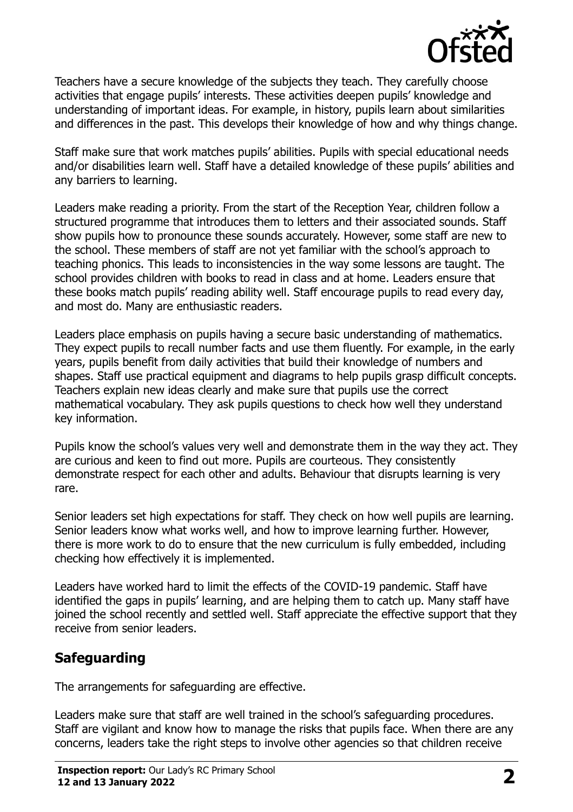

Teachers have a secure knowledge of the subjects they teach. They carefully choose activities that engage pupils' interests. These activities deepen pupils' knowledge and understanding of important ideas. For example, in history, pupils learn about similarities and differences in the past. This develops their knowledge of how and why things change.

Staff make sure that work matches pupils' abilities. Pupils with special educational needs and/or disabilities learn well. Staff have a detailed knowledge of these pupils' abilities and any barriers to learning.

Leaders make reading a priority. From the start of the Reception Year, children follow a structured programme that introduces them to letters and their associated sounds. Staff show pupils how to pronounce these sounds accurately. However, some staff are new to the school. These members of staff are not yet familiar with the school's approach to teaching phonics. This leads to inconsistencies in the way some lessons are taught. The school provides children with books to read in class and at home. Leaders ensure that these books match pupils' reading ability well. Staff encourage pupils to read every day, and most do. Many are enthusiastic readers.

Leaders place emphasis on pupils having a secure basic understanding of mathematics. They expect pupils to recall number facts and use them fluently. For example, in the early years, pupils benefit from daily activities that build their knowledge of numbers and shapes. Staff use practical equipment and diagrams to help pupils grasp difficult concepts. Teachers explain new ideas clearly and make sure that pupils use the correct mathematical vocabulary. They ask pupils questions to check how well they understand key information.

Pupils know the school's values very well and demonstrate them in the way they act. They are curious and keen to find out more. Pupils are courteous. They consistently demonstrate respect for each other and adults. Behaviour that disrupts learning is very rare.

Senior leaders set high expectations for staff. They check on how well pupils are learning. Senior leaders know what works well, and how to improve learning further. However, there is more work to do to ensure that the new curriculum is fully embedded, including checking how effectively it is implemented.

Leaders have worked hard to limit the effects of the COVID-19 pandemic. Staff have identified the gaps in pupils' learning, and are helping them to catch up. Many staff have joined the school recently and settled well. Staff appreciate the effective support that they receive from senior leaders.

# **Safeguarding**

The arrangements for safeguarding are effective.

Leaders make sure that staff are well trained in the school's safeguarding procedures. Staff are vigilant and know how to manage the risks that pupils face. When there are any concerns, leaders take the right steps to involve other agencies so that children receive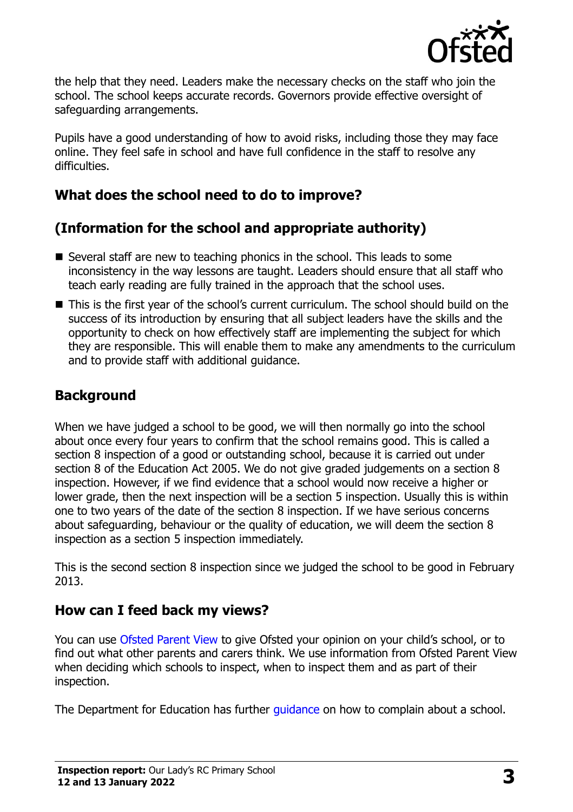

the help that they need. Leaders make the necessary checks on the staff who join the school. The school keeps accurate records. Governors provide effective oversight of safeguarding arrangements.

Pupils have a good understanding of how to avoid risks, including those they may face online. They feel safe in school and have full confidence in the staff to resolve any difficulties.

# **What does the school need to do to improve?**

# **(Information for the school and appropriate authority)**

- Several staff are new to teaching phonics in the school. This leads to some inconsistency in the way lessons are taught. Leaders should ensure that all staff who teach early reading are fully trained in the approach that the school uses.
- This is the first year of the school's current curriculum. The school should build on the success of its introduction by ensuring that all subject leaders have the skills and the opportunity to check on how effectively staff are implementing the subject for which they are responsible. This will enable them to make any amendments to the curriculum and to provide staff with additional guidance.

# **Background**

When we have judged a school to be good, we will then normally go into the school about once every four years to confirm that the school remains good. This is called a section 8 inspection of a good or outstanding school, because it is carried out under section 8 of the Education Act 2005. We do not give graded judgements on a section 8 inspection. However, if we find evidence that a school would now receive a higher or lower grade, then the next inspection will be a section 5 inspection. Usually this is within one to two years of the date of the section 8 inspection. If we have serious concerns about safeguarding, behaviour or the quality of education, we will deem the section 8 inspection as a section 5 inspection immediately.

This is the second section 8 inspection since we judged the school to be good in February 2013.

# **How can I feed back my views?**

You can use [Ofsted Parent View](https://parentview.ofsted.gov.uk/) to give Ofsted your opinion on your child's school, or to find out what other parents and carers think. We use information from Ofsted Parent View when deciding which schools to inspect, when to inspect them and as part of their inspection.

The Department for Education has further quidance on how to complain about a school.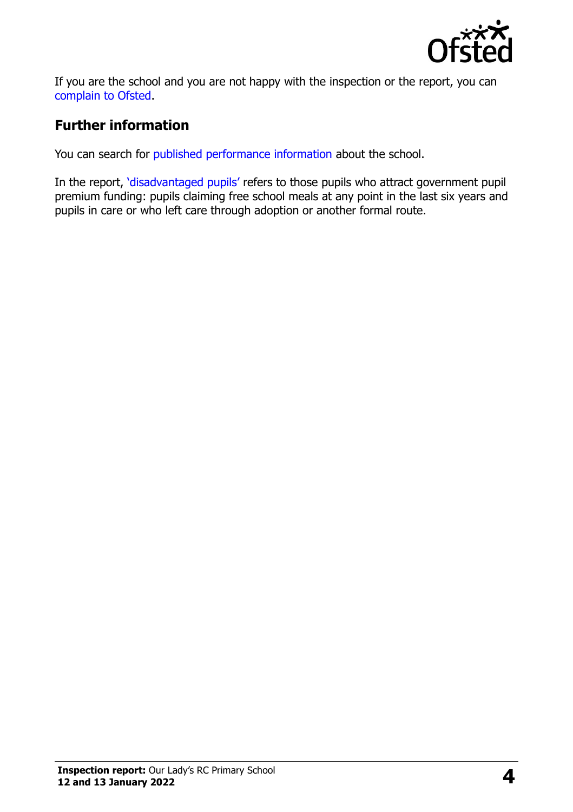

If you are the school and you are not happy with the inspection or the report, you can [complain to Ofsted.](https://www.gov.uk/complain-ofsted-report)

## **Further information**

You can search for [published performance information](http://www.compare-school-performance.service.gov.uk/) about the school.

In the report, '[disadvantaged pupils](http://www.gov.uk/guidance/pupil-premium-information-for-schools-and-alternative-provision-settings)' refers to those pupils who attract government pupil premium funding: pupils claiming free school meals at any point in the last six years and pupils in care or who left care through adoption or another formal route.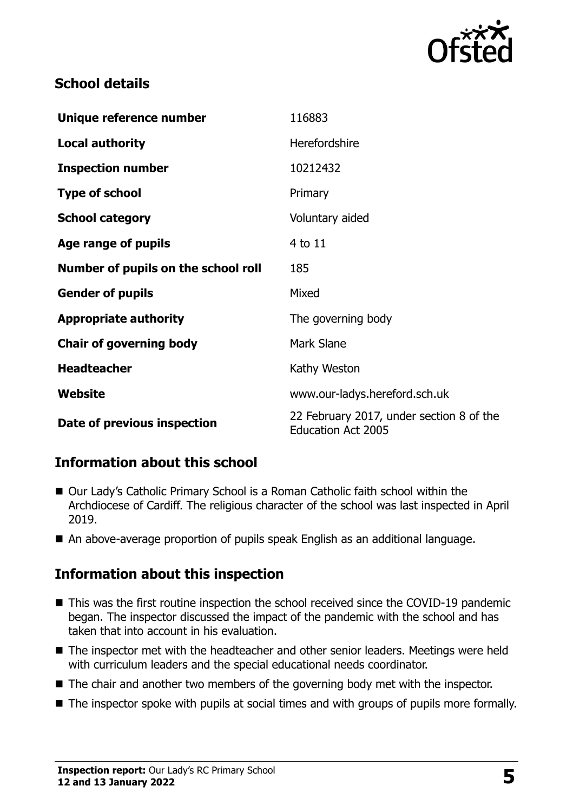

# **School details**

| Unique reference number             | 116883                                                                |
|-------------------------------------|-----------------------------------------------------------------------|
| <b>Local authority</b>              | Herefordshire                                                         |
| <b>Inspection number</b>            | 10212432                                                              |
| <b>Type of school</b>               | Primary                                                               |
| <b>School category</b>              | Voluntary aided                                                       |
| Age range of pupils                 | 4 to 11                                                               |
| Number of pupils on the school roll | 185                                                                   |
| <b>Gender of pupils</b>             | Mixed                                                                 |
| <b>Appropriate authority</b>        | The governing body                                                    |
| <b>Chair of governing body</b>      | Mark Slane                                                            |
| <b>Headteacher</b>                  | Kathy Weston                                                          |
| Website                             | www.our-ladys.hereford.sch.uk                                         |
| Date of previous inspection         | 22 February 2017, under section 8 of the<br><b>Education Act 2005</b> |

# **Information about this school**

- Our Lady's Catholic Primary School is a Roman Catholic faith school within the Archdiocese of Cardiff. The religious character of the school was last inspected in April 2019.
- An above-average proportion of pupils speak English as an additional language.

# **Information about this inspection**

- This was the first routine inspection the school received since the COVID-19 pandemic began. The inspector discussed the impact of the pandemic with the school and has taken that into account in his evaluation.
- The inspector met with the headteacher and other senior leaders. Meetings were held with curriculum leaders and the special educational needs coordinator.
- The chair and another two members of the governing body met with the inspector.
- The inspector spoke with pupils at social times and with groups of pupils more formally.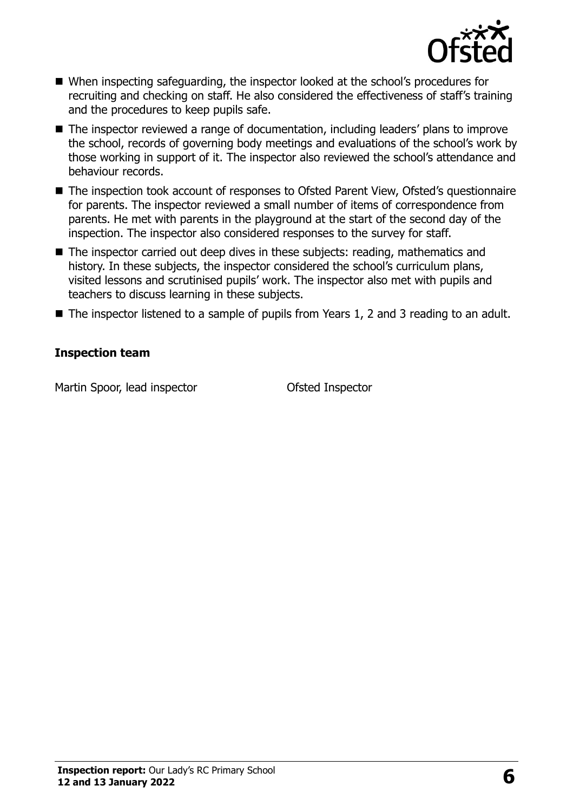

- When inspecting safeguarding, the inspector looked at the school's procedures for recruiting and checking on staff. He also considered the effectiveness of staff's training and the procedures to keep pupils safe.
- The inspector reviewed a range of documentation, including leaders' plans to improve the school, records of governing body meetings and evaluations of the school's work by those working in support of it. The inspector also reviewed the school's attendance and behaviour records.
- The inspection took account of responses to Ofsted Parent View, Ofsted's questionnaire for parents. The inspector reviewed a small number of items of correspondence from parents. He met with parents in the playground at the start of the second day of the inspection. The inspector also considered responses to the survey for staff.
- The inspector carried out deep dives in these subjects: reading, mathematics and history. In these subjects, the inspector considered the school's curriculum plans, visited lessons and scrutinised pupils' work. The inspector also met with pupils and teachers to discuss learning in these subjects.
- The inspector listened to a sample of pupils from Years 1, 2 and 3 reading to an adult.

#### **Inspection team**

Martin Spoor, lead inspector **Contact Contact Contact Contact Contact Contact Contact Contact Contact Contact Contact Contact Contact Contact Contact Contact Contact Contact Contact Contact Contact Contact Contact Contact**